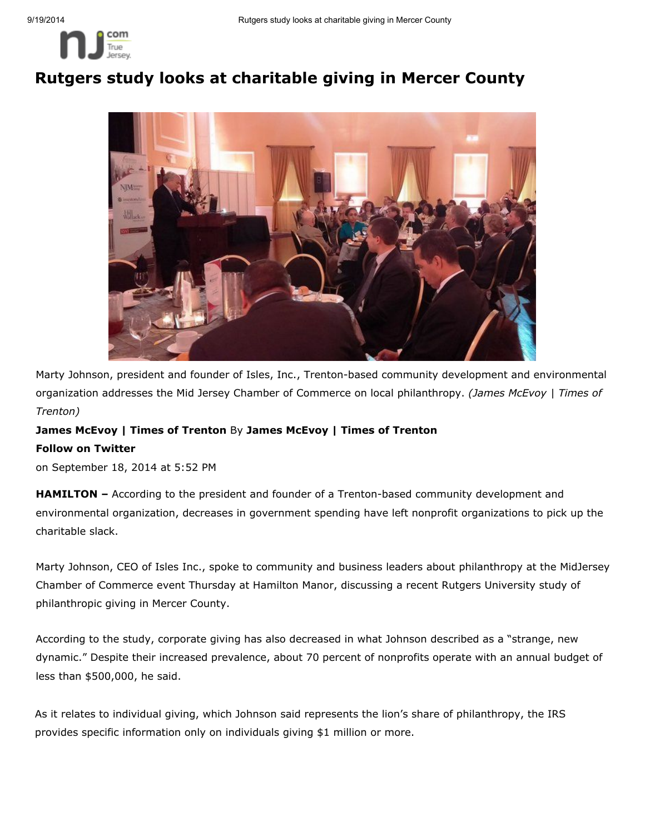

## Rutgers study looks at charitable giving in Mercer County



Marty Johnson, president and founder of Isles, Inc., Trenton-based community development and environmental organization addresses the Mid Jersey Chamber of Commerce on local philanthropy. *(James McEvoy | Times of Trenton)*

## James McEvoy | Times of Trenton By James McEvoy | Times of Trenton

## Follow on Twitter

on September 18, 2014 at 5:52 PM

**HAMILTON** – According to the president and founder of a Trenton-based community development and environmental organization, decreases in government spending have left nonprofit organizations to pick up the charitable slack.

Marty Johnson, CEO of Isles Inc., spoke to community and business leaders about philanthropy at the MidJersey Chamber of Commerce event Thursday at Hamilton Manor, discussing a recent Rutgers University study of philanthropic giving in Mercer County.

According to the study, corporate giving has also decreased in what Johnson described as a "strange, new dynamic." Despite their increased prevalence, about 70 percent of nonprofits operate with an annual budget of less than \$500,000, he said.

As it relates to individual giving, which Johnson said represents the lion's share of philanthropy, the IRS provides specific information only on individuals giving \$1 million or more.